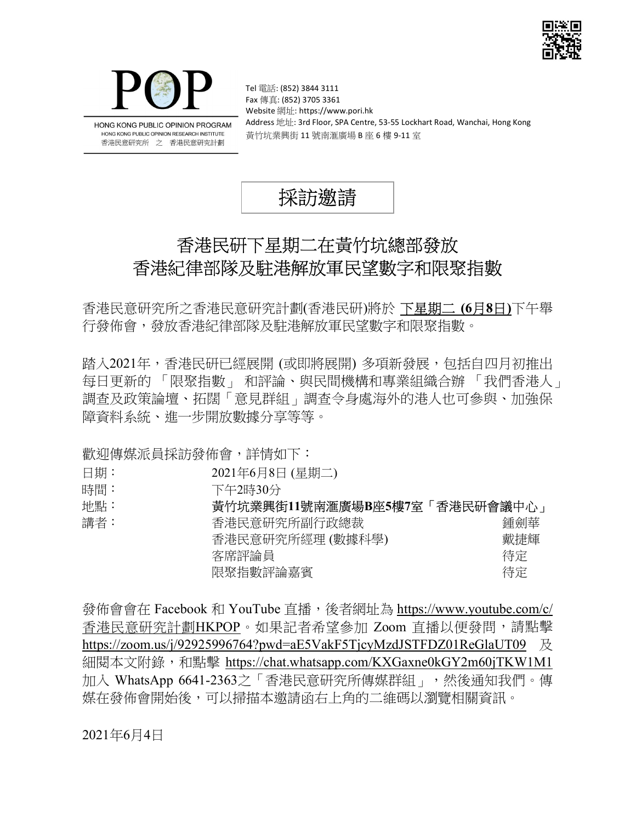



HONG KONG PUBLIC OPINION PROGRAM HONG KONG PUBLIC OPINION RESEARCH INSTITUTE 香港民意研究所 之 香港民意研究計劃

Tel 電話: (852) 3844 3111 Fax 傳真: (852) 3705 3361 Website 網址: https://www.pori.hk Address 地址: 3rd Floor, SPA Centre, 53-55 Lockhart Road, Wanchai, Hong Kong 黃竹坑業興街 11 號南滙廣場 B 座 6 樓 9-11 室



# 香港民研下星期二在黃竹坑總部發放 香港紀律部隊及駐港解放軍民望數字和限聚指數

香港民意研究所之香港民意研究計劃(香港民研)將於 下星期二 (6月8日)下午舉 行發佈會,發放香港紀律部隊及駐港解放軍民望數字和限聚指數。

踏入2021年,香港民研已經展開 (或即將展開) 多項新發展,包括自四月初推出 每日更新的 「限聚指數」 和評論、與民間機構和專業組織合辦 「我們香港人」 調查及政策論壇、拓闊「意見群組」調查令身處海外的港人也可參與、加強保 障資料系統、進一步開放數據分享等等。

歡迎傳媒派員採訪發佈會,詳情如下:

- 日期: 2021年6月8日 (星期二)
- 時間: 下午2時30分

| 地點: | 黃竹坑業興街11號南滙廣場B座5樓7室 | 「香港民研會議中心」 |  |
|-----|---------------------|------------|--|
| 講者: | 香港民意研究所副行政總裁        | 鍾劍華        |  |
|     | 香港民意研究所經理 (數據科學)    | 戴捷輝        |  |
|     | 客席評論員               | 待定         |  |
|     | 限聚指數評論嘉賓            | 待定         |  |
|     |                     |            |  |

發佈會會在 Facebook 和 YouTube 直播,後者網址為 https://www.youtube.com/c/ 香港民意研究計劃HKPOP。如果記者希望參加 Zoom 直播以便發問,請點擊 https://zoom.us/j/92925996764?pwd=aE5VakF5TjcyMzdJSTFDZ01ReGlaUT09 及 細閱本文附錄,和點擊 https://chat.whatsapp.com/KXGaxne0kGY2m60jTKW1M1 加入 WhatsApp 6641-2363之「香港民意研究所傳媒群組」,然後通知我們。傳 媒在發佈會開始後,可以掃描本邀請函右上角的二維碼以瀏覽相關資訊。

2021年6月4日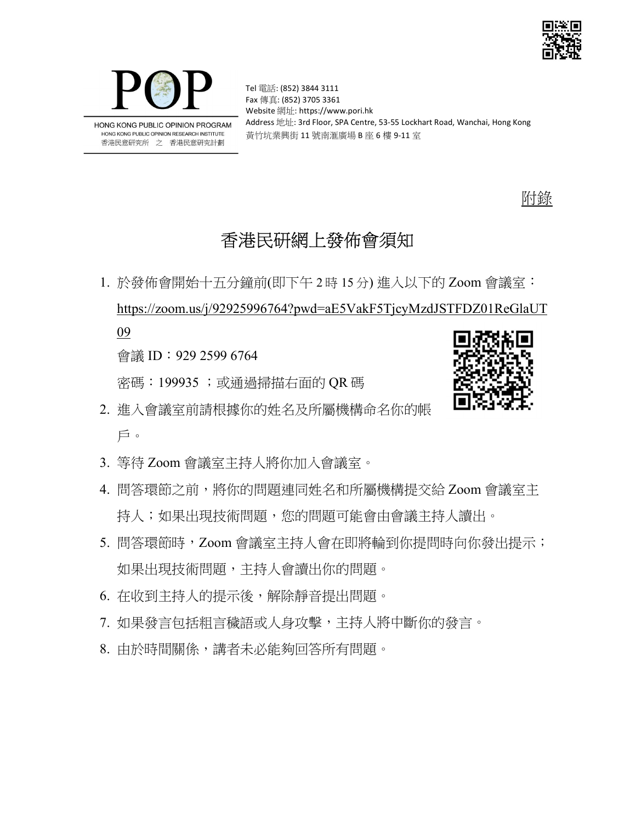



Tel 電話: (852) 3844 3111 Fax 傳真: (852) 3705 3361 Website 網址: https://www.pori.hk Address 地址: 3rd Floor, SPA Centre, 53-55 Lockhart Road, Wanchai, Hong Kong 黃竹坑業興街 11 號南滙廣場 B 座 6 樓 9-11 室

附錄

## 香港民研網上發佈會須知

1. 於發佈會開始十五分鐘前(即下午 2 時 15 分) 進入以下的 Zoom 會議室: https://zoom.us/j/92925996764?pwd=aE5VakF5TjcyMzdJSTFDZ01ReGlaUT 09

會議 ID:929 2599 6764

密碼:199935 ;或通過掃描右面的 QR 碼



- 2. 進入會議室前請根據你的姓名及所屬機構命名你的帳 戶。
- 3. 等待 Zoom 會議室主持人將你加入會議室。
- 4. 問答環節之前,將你的問題連同姓名和所屬機構提交給 Zoom 會議室主 持人;如果出現技術問題,您的問題可能會由會議主持人讀出。
- 5. 問答環節時, Zoom 會議室主持人會在即將輪到你提問時向你發出提示; 如果出現技術問題,主持人會讀出你的問題。
- 6. 在收到主持人的提示後,解除靜音提出問題。
- 7. 如果發言包括粗言穢語或人身攻擊,主持人將中斷你的發言。
- 8. 由於時間關係,講者未必能夠回答所有問題。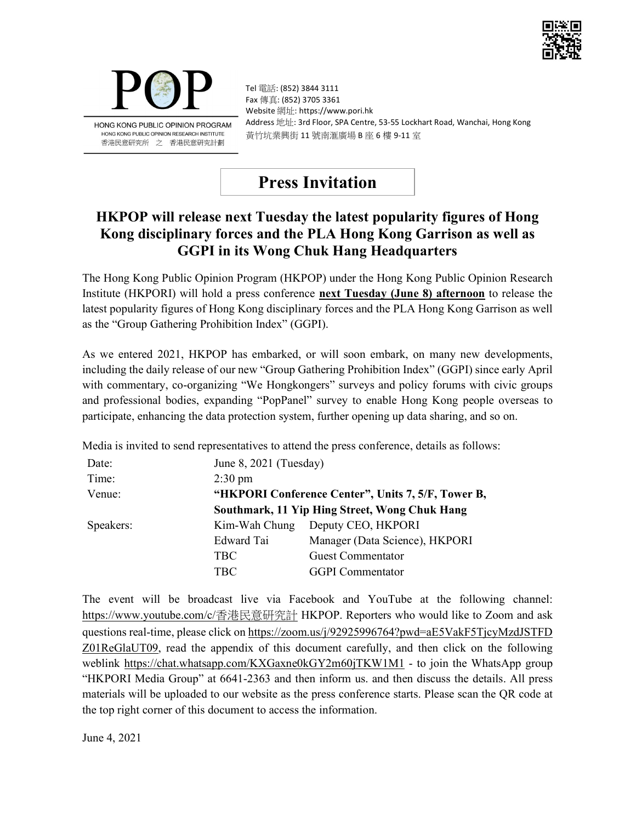



Tel 電話: (852) 3844 3111 Fax 傳真: (852) 3705 3361 Website 網址: https://www.pori.hk Address 地址: 3rd Floor, SPA Centre, 53-55 Lockhart Road, Wanchai, Hong Kong 黃竹坑業興街 11 號南滙廣場 B 座 6 樓 9-11 室

## Press Invitation

#### HKPOP will release next Tuesday the latest popularity figures of Hong Kong disciplinary forces and the PLA Hong Kong Garrison as well as GGPI in its Wong Chuk Hang Headquarters

The Hong Kong Public Opinion Program (HKPOP) under the Hong Kong Public Opinion Research Institute (HKPORI) will hold a press conference **next Tuesday (June 8) afternoon** to release the latest popularity figures of Hong Kong disciplinary forces and the PLA Hong Kong Garrison as well as the "Group Gathering Prohibition Index" (GGPI).

As we entered 2021, HKPOP has embarked, or will soon embark, on many new developments, including the daily release of our new "Group Gathering Prohibition Index" (GGPI) since early April with commentary, co-organizing "We Hongkongers" surveys and policy forums with civic groups and professional bodies, expanding "PopPanel" survey to enable Hong Kong people overseas to participate, enhancing the data protection system, further opening up data sharing, and so on.

Media is invited to send representatives to attend the press conference, details as follows:

| Date:     | June $8, 2021$ (Tuesday)                           |                                |  |
|-----------|----------------------------------------------------|--------------------------------|--|
| Time:     | $2:30 \text{ pm}$                                  |                                |  |
| Venue:    | "HKPORI Conference Center", Units 7, 5/F, Tower B, |                                |  |
|           | Southmark, 11 Yip Hing Street, Wong Chuk Hang      |                                |  |
| Speakers: | Kim-Wah Chung                                      | Deputy CEO, HKPORI             |  |
|           | Edward Tai                                         | Manager (Data Science), HKPORI |  |
|           | TBC                                                | <b>Guest Commentator</b>       |  |
|           | TBC                                                | <b>GGPI</b> Commentator        |  |

The event will be broadcast live via Facebook and YouTube at the following channel: https://www.youtube.com/c/香港民意研究計 HKPOP. Reporters who would like to Zoom and ask questions real-time, please click on https://zoom.us/j/92925996764?pwd=aE5VakF5TjcyMzdJSTFD Z01ReGlaUT09, read the appendix of this document carefully, and then click on the following weblink https://chat.whatsapp.com/KXGaxne0kGY2m60jTKW1M1 - to join the WhatsApp group "HKPORI Media Group" at 6641-2363 and then inform us. and then discuss the details. All press materials will be uploaded to our website as the press conference starts. Please scan the QR code at the top right corner of this document to access the information.

June 4, 2021